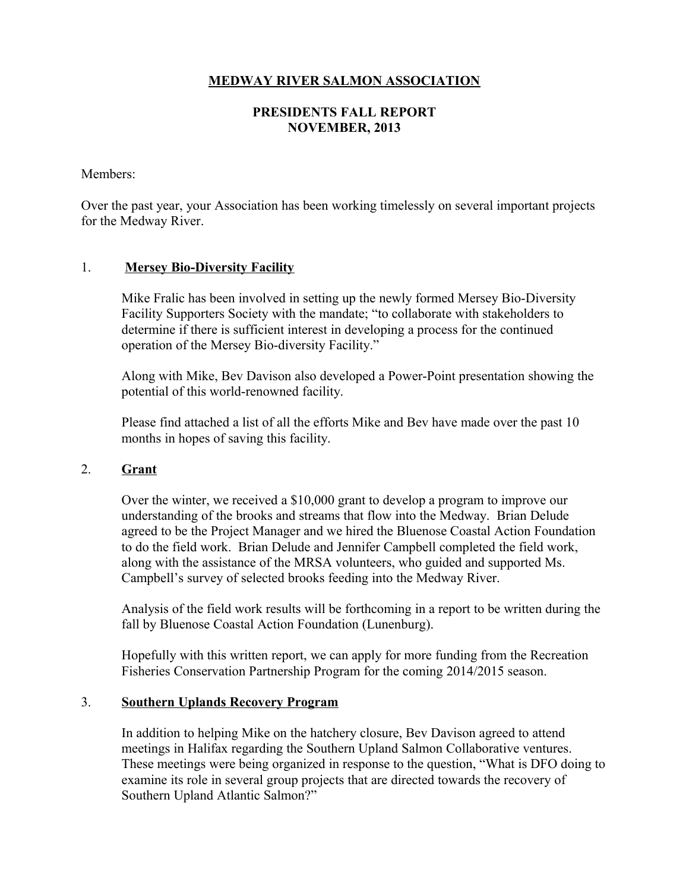# **MEDWAY RIVER SALMON ASSOCIATION**

# **PRESIDENTS FALL REPORT NOVEMBER, 2013**

### Members:

Over the past year, your Association has been working timelessly on several important projects for the Medway River.

### 1. **Mersey Bio-Diversity Facility**

Mike Fralic has been involved in setting up the newly formed Mersey Bio-Diversity Facility Supporters Society with the mandate; "to collaborate with stakeholders to determine if there is sufficient interest in developing a process for the continued operation of the Mersey Bio-diversity Facility."

Along with Mike, Bev Davison also developed a Power-Point presentation showing the potential of this world-renowned facility.

Please find attached a list of all the efforts Mike and Bev have made over the past 10 months in hopes of saving this facility.

#### 2. **Grant**

Over the winter, we received a \$10,000 grant to develop a program to improve our understanding of the brooks and streams that flow into the Medway. Brian Delude agreed to be the Project Manager and we hired the Bluenose Coastal Action Foundation to do the field work. Brian Delude and Jennifer Campbell completed the field work, along with the assistance of the MRSA volunteers, who guided and supported Ms. Campbell's survey of selected brooks feeding into the Medway River.

Analysis of the field work results will be forthcoming in a report to be written during the fall by Bluenose Coastal Action Foundation (Lunenburg).

Hopefully with this written report, we can apply for more funding from the Recreation Fisheries Conservation Partnership Program for the coming 2014/2015 season.

### 3. **Southern Uplands Recovery Program**

In addition to helping Mike on the hatchery closure, Bev Davison agreed to attend meetings in Halifax regarding the Southern Upland Salmon Collaborative ventures. These meetings were being organized in response to the question, "What is DFO doing to examine its role in several group projects that are directed towards the recovery of Southern Upland Atlantic Salmon?"